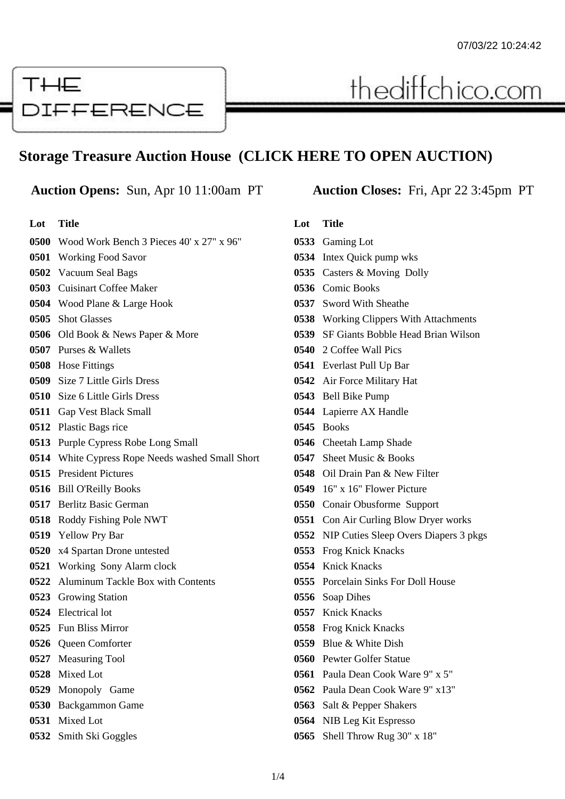# THE **DIFFERENCE**

# **Storage Treasure Auction House (CLICK HERE TO OPEN AUCTION)**

### **Auction Opens:** Sun, Apr 10 11:00am PT **Auction Closes:** Fri, Apr 22 3:45pm PT

| Lot Title                                                          |
|--------------------------------------------------------------------|
| <b>0500</b> Wood Work Bench 3 Pieces $40' \times 27'' \times 96''$ |

# Working Food Savor Vacuum Seal Bags Cuisinart Coffee Maker Wood Plane & Large Hook Shot Glasses

- Old Book & News Paper & More
- Purses & Wallets
- Hose Fittings
- Size 7 Little Girls Dress
- Size 6 Little Girls Dress
- Gap Vest Black Small
- Plastic Bags rice
- Purple Cypress Robe Long Small
- White Cypress Rope Needs washed Small Short
- President Pictures
- Bill O'Reilly Books
- Berlitz Basic German
- Roddy Fishing Pole NWT
- Yellow Pry Bar
- x4 Spartan Drone untested
- Working Sony Alarm clock
- Aluminum Tackle Box with Contents
- Growing Station
- Electrical lot
- Fun Bliss Mirror
- Queen Comforter
- Measuring Tool
- Mixed Lot
- Monopoly Game
- Backgammon Game
- Mixed Lot
- Smith Ski Goggles

thediffchico.com

### **Lot Title**

- Gaming Lot Intex Quick pump wks
- Casters & Moving Dolly
- Comic Books
- Sword With Sheathe
- Working Clippers With Attachments
- SF Giants Bobble Head Brian Wilson
- 2 Coffee Wall Pics
- Everlast Pull Up Bar
- Air Force Military Hat
- Bell Bike Pump
- Lapierre AX Handle
- Books
- Cheetah Lamp Shade
- Sheet Music & Books
- Oil Drain Pan & New Filter
- 16" x 16" Flower Picture
- Conair Obusforme Support
- Con Air Curling Blow Dryer works
- NIP Cuties Sleep Overs Diapers 3 pkgs
- Frog Knick Knacks
- Knick Knacks
- Porcelain Sinks For Doll House
- Soap Dihes
- Knick Knacks
- Frog Knick Knacks
- Blue & White Dish
- Pewter Golfer Statue
- Paula Dean Cook Ware 9" x 5"
- Paula Dean Cook Ware 9" x13"
- Salt & Pepper Shakers
- NIB Leg Kit Espresso
- Shell Throw Rug 30" x 18"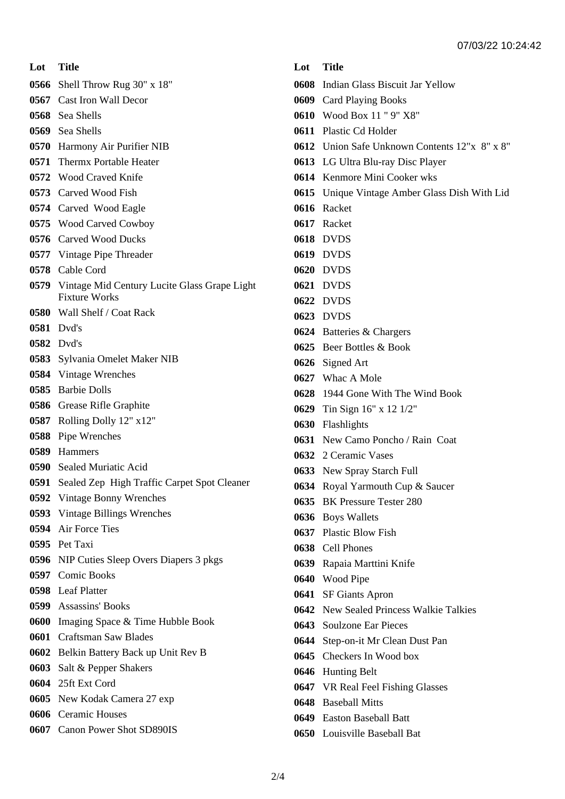**Lot Title**

- Shell Throw Rug 30" x 18"
- Cast Iron Wall Decor
- Sea Shells
- Sea Shells
- Harmony Air Purifier NIB
- Thermx Portable Heater
- Wood Craved Knife
- Carved Wood Fish
- Carved Wood Eagle
- Wood Carved Cowboy
- Carved Wood Ducks
- Vintage Pipe Threader
- Cable Cord
- Vintage Mid Century Lucite Glass Grape Light Fixture Works
- Wall Shelf / Coat Rack
- Dvd's
- Dvd's
- Sylvania Omelet Maker NIB
- Vintage Wrenches
- Barbie Dolls
- Grease Rifle Graphite
- Rolling Dolly 12" x12"
- Pipe Wrenches
- Hammers
- Sealed Muriatic Acid
- Sealed Zep High Traffic Carpet Spot Cleaner
- Vintage Bonny Wrenches
- Vintage Billings Wrenches
- Air Force Ties
- Pet Taxi
- NIP Cuties Sleep Overs Diapers 3 pkgs
- Comic Books
- Leaf Platter
- Assassins' Books
- Imaging Space & Time Hubble Book
- Craftsman Saw Blades
- Belkin Battery Back up Unit Rev B
- Salt & Pepper Shakers
- 25ft Ext Cord
- New Kodak Camera 27 exp
- Ceramic Houses
- Canon Power Shot SD890IS

# **Lot Title**

- Indian Glass Biscuit Jar Yellow
- Card Playing Books
- Wood Box 11 " 9" X8"
- Plastic Cd Holder
- Union Safe Unknown Contents 12"x 8" x 8"
- LG Ultra Blu-ray Disc Player
- Kenmore Mini Cooker wks
- Unique Vintage Amber Glass Dish With Lid
- Racket
- Racket
- DVDS
- DVDS
- DVDS
- DVDS
- DVDS
- DVDS
- Batteries & Chargers
- Beer Bottles & Book
- Signed Art
- Whac A Mole
- 1944 Gone With The Wind Book
- Tin Sign 16" x 12 1/2"
- Flashlights
- New Camo Poncho / Rain Coat
- 2 Ceramic Vases
- New Spray Starch Full
- Royal Yarmouth Cup & Saucer
- BK Pressure Tester 280
- Boys Wallets
- Plastic Blow Fish
- Cell Phones
- Rapaia Marttini Knife
- Wood Pipe
- SF Giants Apron
- New Sealed Princess Walkie Talkies
- Soulzone Ear Pieces
- Step-on-it Mr Clean Dust Pan
- Checkers In Wood box
- Hunting Belt
- VR Real Feel Fishing Glasses
- Baseball Mitts
- Easton Baseball Batt
- Louisville Baseball Bat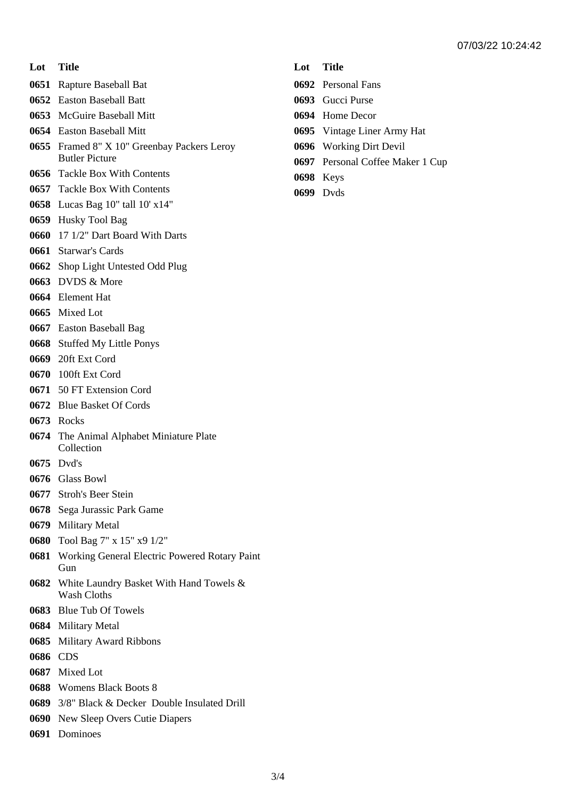- **Lot Title**
- Rapture Baseball Bat
- Easton Baseball Batt
- McGuire Baseball Mitt
- Easton Baseball Mitt
- Framed 8" X 10" Greenbay Packers Leroy Butler Picture
- Tackle Box With Contents
- Tackle Box With Contents
- Lucas Bag 10" tall 10' x14"
- Husky Tool Bag
- 17 1/2" Dart Board With Darts
- Starwar's Cards
- Shop Light Untested Odd Plug
- DVDS & More
- Element Hat
- Mixed Lot
- Easton Baseball Bag
- Stuffed My Little Ponys
- 20ft Ext Cord
- 100ft Ext Cord
- 50 FT Extension Cord
- Blue Basket Of Cords
- Rocks
- The Animal Alphabet Miniature Plate Collection
- Dvd's
- Glass Bowl
- Stroh's Beer Stein
- Sega Jurassic Park Game
- Military Metal
- Tool Bag 7" x 15" x9 1/2"
- Working General Electric Powered Rotary Paint Gun
- White Laundry Basket With Hand Towels & Wash Cloths
- Blue Tub Of Towels
- Military Metal
- Military Award Ribbons
- CDS
- Mixed Lot
- Womens Black Boots 8
- 3/8" Black & Decker Double Insulated Drill
- New Sleep Overs Cutie Diapers
- Dominoes

## **Lot Title**

- Personal Fans
- Gucci Purse
- Home Decor
- Vintage Liner Army Hat
- Working Dirt Devil
- Personal Coffee Maker 1 Cup
- Keys
- Dvds